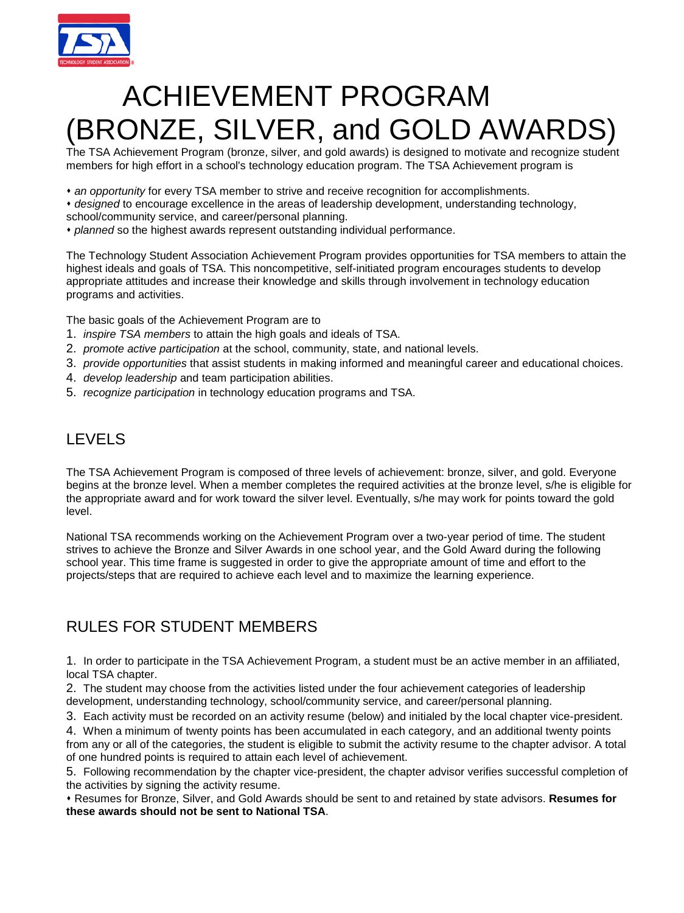

# ACHIEVEMENT PROGRAM (BRONZE, SILVER, and GOLD AWARDS)

The TSA Achievement Program (bronze, silver, and gold awards) is designed to motivate and recognize student members for high effort in a school's technology education program. The TSA Achievement program is

- *an opportunity* for every TSA member to strive and receive recognition for accomplishments.
- *designed* to encourage excellence in the areas of leadership development, understanding technology, school/community service, and career/personal planning.
- *planned* so the highest awards represent outstanding individual performance.

The Technology Student Association Achievement Program provides opportunities for TSA members to attain the highest ideals and goals of TSA. This noncompetitive, self-initiated program encourages students to develop appropriate attitudes and increase their knowledge and skills through involvement in technology education programs and activities.

The basic goals of the Achievement Program are to

- 1. *inspire TSA members* to attain the high goals and ideals of TSA.
- 2. *promote active participation* at the school, community, state, and national levels.
- 3. *provide opportunities* that assist students in making informed and meaningful career and educational choices.
- 4. *develop leadership* and team participation abilities.
- 5. *recognize participation* in technology education programs and TSA.

# LEVELS

The TSA Achievement Program is composed of three levels of achievement: bronze, silver, and gold. Everyone begins at the bronze level. When a member completes the required activities at the bronze level, s/he is eligible for the appropriate award and for work toward the silver level. Eventually, s/he may work for points toward the gold level.

National TSA recommends working on the Achievement Program over a two-year period of time. The student strives to achieve the Bronze and Silver Awards in one school year, and the Gold Award during the following school year. This time frame is suggested in order to give the appropriate amount of time and effort to the projects/steps that are required to achieve each level and to maximize the learning experience.

# RULES FOR STUDENT MEMBERS

1. In order to participate in the TSA Achievement Program, a student must be an active member in an affiliated, local TSA chapter.

2. The student may choose from the activities listed under the four achievement categories of leadership development, understanding technology, school/community service, and career/personal planning.

3. Each activity must be recorded on an activity resume (below) and initialed by the local chapter vice-president.

4. When a minimum of twenty points has been accumulated in each category, and an additional twenty points

from any or all of the categories, the student is eligible to submit the activity resume to the chapter advisor. A total of one hundred points is required to attain each level of achievement.

5. Following recommendation by the chapter vice-president, the chapter advisor verifies successful completion of the activities by signing the activity resume.

 Resumes for Bronze, Silver, and Gold Awards should be sent to and retained by state advisors. **Resumes for these awards should not be sent to National TSA**.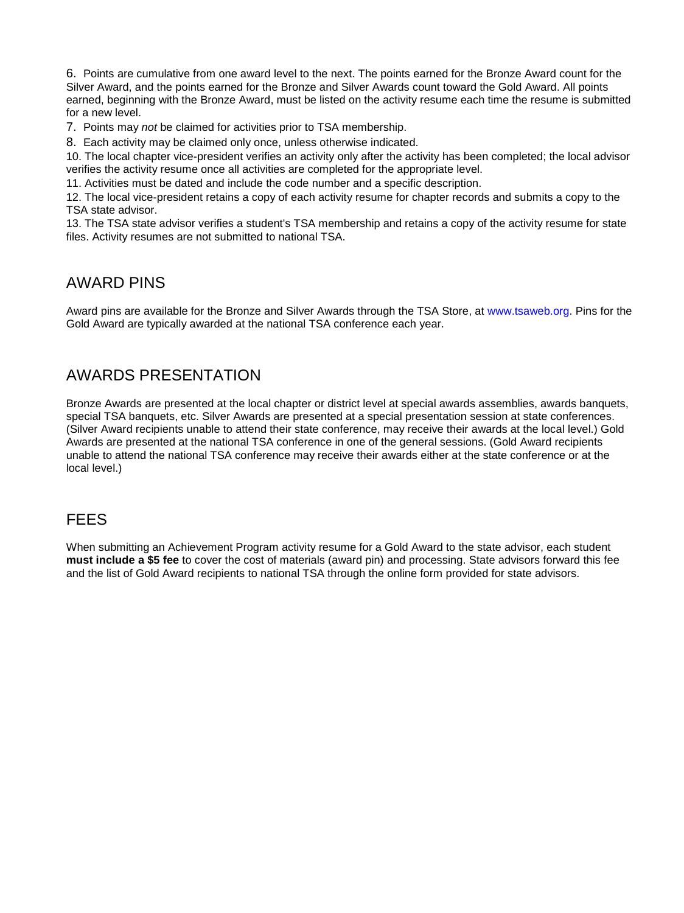6. Points are cumulative from one award level to the next. The points earned for the Bronze Award count for the Silver Award, and the points earned for the Bronze and Silver Awards count toward the Gold Award. All points earned, beginning with the Bronze Award, must be listed on the activity resume each time the resume is submitted for a new level.

7. Points may *not* be claimed for activities prior to TSA membership.

8. Each activity may be claimed only once, unless otherwise indicated.

10. The local chapter vice-president verifies an activity only after the activity has been completed; the local advisor verifies the activity resume once all activities are completed for the appropriate level.

11. Activities must be dated and include the code number and a specific description.

12. The local vice-president retains a copy of each activity resume for chapter records and submits a copy to the TSA state advisor.

13. The TSA state advisor verifies a student's TSA membership and retains a copy of the activity resume for state files. Activity resumes are not submitted to national TSA.

#### AWARD PINS

Award pins are available for the Bronze and Silver Awards through the TSA Store, at www.tsaweb.org. Pins for the Gold Award are typically awarded at the national TSA conference each year.

### AWARDS PRESENTATION

Bronze Awards are presented at the local chapter or district level at special awards assemblies, awards banquets, special TSA banquets, etc. Silver Awards are presented at a special presentation session at state conferences. (Silver Award recipients unable to attend their state conference, may receive their awards at the local level.) Gold Awards are presented at the national TSA conference in one of the general sessions. (Gold Award recipients unable to attend the national TSA conference may receive their awards either at the state conference or at the local level.)

# FEES

When submitting an Achievement Program activity resume for a Gold Award to the state advisor, each student **must include a \$5 fee** to cover the cost of materials (award pin) and processing. State advisors forward this fee and the list of Gold Award recipients to national TSA through the online form provided for state advisors.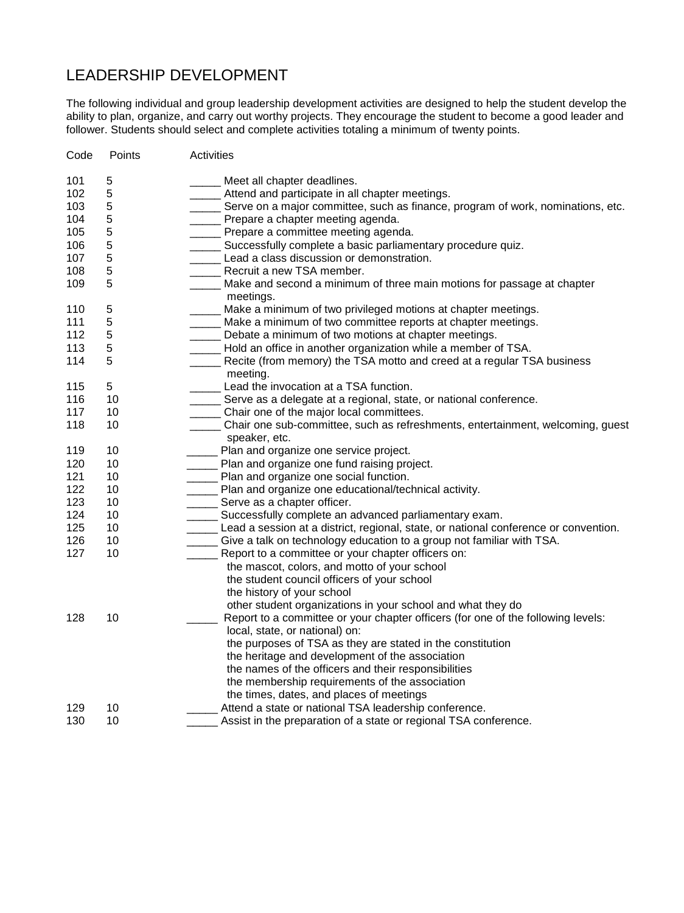# LEADERSHIP DEVELOPMENT

The following individual and group leadership development activities are designed to help the student develop the ability to plan, organize, and carry out worthy projects. They encourage the student to become a good leader and follower. Students should select and complete activities totaling a minimum of twenty points.

| Code | Points | Activities                                                                           |
|------|--------|--------------------------------------------------------------------------------------|
| 101  | 5      | Meet all chapter deadlines.                                                          |
| 102  | 5      | _____ Attend and participate in all chapter meetings.                                |
| 103  | 5      | Serve on a major committee, such as finance, program of work, nominations, etc.      |
| 104  | 5      | Prepare a chapter meeting agenda.                                                    |
| 105  | 5      | _____ Prepare a committee meeting agenda.                                            |
| 106  | 5      | _____ Successfully complete a basic parliamentary procedure quiz.                    |
| 107  | 5      | Lead a class discussion or demonstration.                                            |
| 108  | 5      | Recruit a new TSA member.                                                            |
| 109  | 5      | Make and second a minimum of three main motions for passage at chapter               |
|      |        | meetings.                                                                            |
| 110  | 5      | Make a minimum of two privileged motions at chapter meetings.                        |
| 111  | 5      | Make a minimum of two committee reports at chapter meetings.                         |
| 112  | 5      | Debate a minimum of two motions at chapter meetings.                                 |
| 113  | 5      | Hold an office in another organization while a member of TSA.                        |
| 114  | 5      | _____ Recite (from memory) the TSA motto and creed at a regular TSA business         |
|      |        | meeting.                                                                             |
| 115  | 5      | Lead the invocation at a TSA function.                                               |
| 116  | 10     | _____ Serve as a delegate at a regional, state, or national conference.              |
| 117  | 10     | ______ Chair one of the major local committees.                                      |
| 118  | 10     | Chair one sub-committee, such as refreshments, entertainment, welcoming, guest       |
|      |        | speaker, etc.                                                                        |
| 119  | 10     | ____ Plan and organize one service project.                                          |
| 120  | 10     | _____ Plan and organize one fund raising project.                                    |
| 121  | 10     | ______ Plan and organize one social function.                                        |
| 122  | 10     | _____ Plan and organize one educational/technical activity.                          |
| 123  | 10     | _____ Serve as a chapter officer.                                                    |
| 124  | 10     | ______ Successfully complete an advanced parliamentary exam.                         |
| 125  | 10     | Lead a session at a district, regional, state, or national conference or convention. |
| 126  | 10     | _____ Give a talk on technology education to a group not familiar with TSA.          |
| 127  | 10     | Report to a committee or your chapter officers on:                                   |
|      |        | the mascot, colors, and motto of your school                                         |
|      |        | the student council officers of your school                                          |
|      |        | the history of your school                                                           |
|      |        | other student organizations in your school and what they do                          |
| 128  | 10     | Report to a committee or your chapter officers (for one of the following levels:     |
|      |        | local, state, or national) on:                                                       |
|      |        | the purposes of TSA as they are stated in the constitution                           |
|      |        | the heritage and development of the association                                      |
|      |        | the names of the officers and their responsibilities                                 |
|      |        | the membership requirements of the association                                       |
|      |        | the times, dates, and places of meetings                                             |
| 129  | 10     | Attend a state or national TSA leadership conference.                                |
| 130  | 10     | Assist in the preparation of a state or regional TSA conference.                     |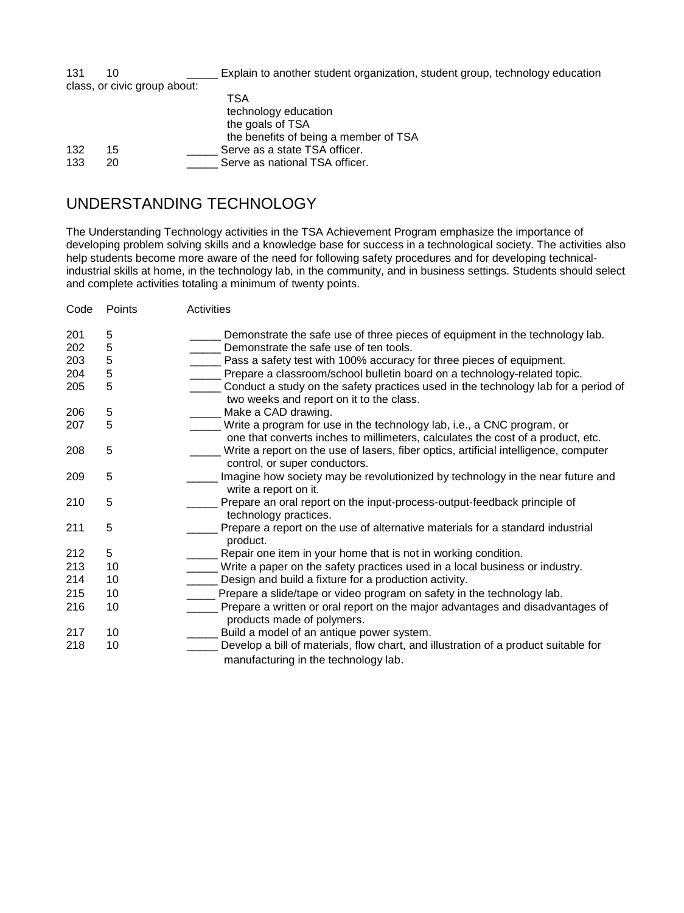| 131 | 10                           | Explain to another student organization, student group, technology education             |
|-----|------------------------------|------------------------------------------------------------------------------------------|
|     | class, or civic group about: |                                                                                          |
|     |                              | TSA<br>technology education<br>the goals of TSA<br>the benefits of being a member of TSA |
| 132 | 15                           | Serve as a state TSA officer.                                                            |
| 133 | 20                           | Serve as national TSA officer.                                                           |

### UNDERSTANDING TECHNOLOGY

The Understanding Technology activities in the TSA Achievement Program emphasize the importance of developing problem solving skills and a knowledge base for success in a technological society. The activities also help students become more aware of the need for following safety procedures and for developing technicalindustrial skills at home, in the technology lab, in the community, and in business settings. Students should select and complete activities totaling a minimum of twenty points.

| Code | Points | Activities                                                                                                                                                     |
|------|--------|----------------------------------------------------------------------------------------------------------------------------------------------------------------|
| 201  | 5      | Demonstrate the safe use of three pieces of equipment in the technology lab.                                                                                   |
| 202  | 5      | Demonstrate the safe use of ten tools.                                                                                                                         |
| 203  | 5      | Pass a safety test with 100% accuracy for three pieces of equipment.                                                                                           |
| 204  | 5      | Prepare a classroom/school bulletin board on a technology-related topic.                                                                                       |
| 205  | 5      | Conduct a study on the safety practices used in the technology lab for a period of<br>two weeks and report on it to the class.                                 |
| 206  | 5      | Make a CAD drawing.                                                                                                                                            |
| 207  | 5      | ____ Write a program for use in the technology lab, i.e., a CNC program, or<br>one that converts inches to millimeters, calculates the cost of a product, etc. |
| 208  | 5      | Write a report on the use of lasers, fiber optics, artificial intelligence, computer<br>control, or super conductors.                                          |
| 209  | 5      | Imagine how society may be revolutionized by technology in the near future and<br>write a report on it.                                                        |
| 210  | 5      | Prepare an oral report on the input-process-output-feedback principle of<br>technology practices.                                                              |
| 211  | 5      | Prepare a report on the use of alternative materials for a standard industrial<br>product.                                                                     |
| 212  | 5      | Repair one item in your home that is not in working condition.                                                                                                 |
| 213  | 10     | Write a paper on the safety practices used in a local business or industry.                                                                                    |
| 214  | 10     | Design and build a fixture for a production activity.                                                                                                          |
| 215  | 10     | Prepare a slide/tape or video program on safety in the technology lab.                                                                                         |
| 216  | 10     | Prepare a written or oral report on the major advantages and disadvantages of<br>products made of polymers.                                                    |
| 217  | 10     | Build a model of an antique power system.                                                                                                                      |
| 218  | 10     | Develop a bill of materials, flow chart, and illustration of a product suitable for<br>manufacturing in the technology lab.                                    |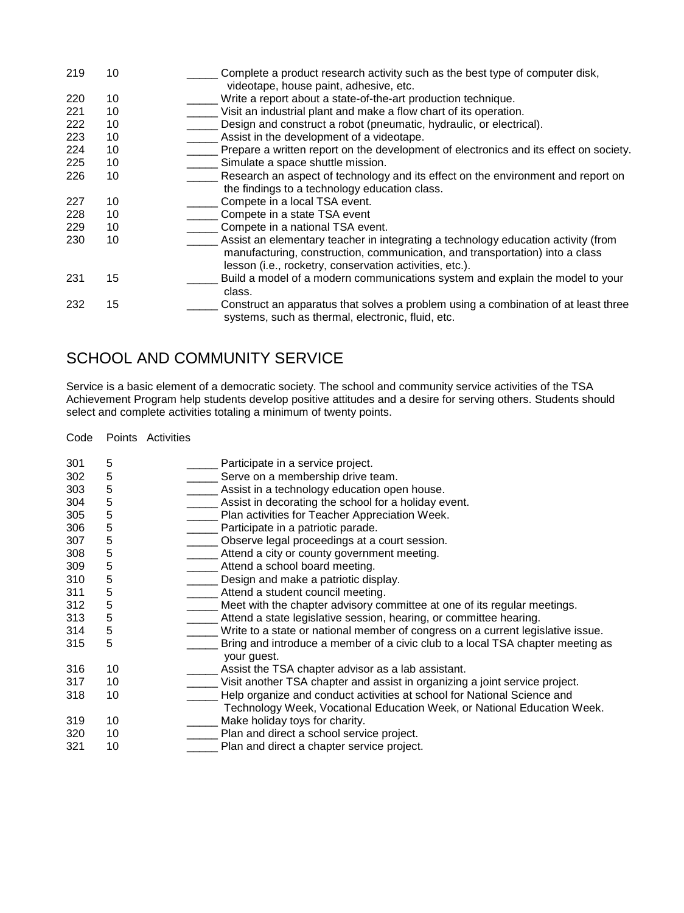| 219 | 10 | Complete a product research activity such as the best type of computer disk,<br>videotape, house paint, adhesive, etc.                                                                                                       |
|-----|----|------------------------------------------------------------------------------------------------------------------------------------------------------------------------------------------------------------------------------|
| 220 | 10 | Write a report about a state-of-the-art production technique.                                                                                                                                                                |
| 221 | 10 | Visit an industrial plant and make a flow chart of its operation.                                                                                                                                                            |
| 222 | 10 | Design and construct a robot (pneumatic, hydraulic, or electrical).                                                                                                                                                          |
| 223 | 10 | Assist in the development of a videotape.                                                                                                                                                                                    |
| 224 | 10 | Prepare a written report on the development of electronics and its effect on society.                                                                                                                                        |
| 225 | 10 | Simulate a space shuttle mission.                                                                                                                                                                                            |
| 226 | 10 | Research an aspect of technology and its effect on the environment and report on                                                                                                                                             |
|     |    | the findings to a technology education class.                                                                                                                                                                                |
| 227 | 10 | Compete in a local TSA event.                                                                                                                                                                                                |
| 228 | 10 | Compete in a state TSA event                                                                                                                                                                                                 |
| 229 | 10 | Compete in a national TSA event.                                                                                                                                                                                             |
| 230 | 10 | Assist an elementary teacher in integrating a technology education activity (from<br>manufacturing, construction, communication, and transportation) into a class<br>lesson (i.e., rocketry, conservation activities, etc.). |
| 231 | 15 | Build a model of a modern communications system and explain the model to your<br>class.                                                                                                                                      |
| 232 | 15 | Construct an apparatus that solves a problem using a combination of at least three<br>systems, such as thermal, electronic, fluid, etc.                                                                                      |

# SCHOOL AND COMMUNITY SERVICE

Service is a basic element of a democratic society. The school and community service activities of the TSA Achievement Program help students develop positive attitudes and a desire for serving others. Students should select and complete activities totaling a minimum of twenty points.

Code Points Activities

| 301 | 5  | Participate in a service project.                                               |
|-----|----|---------------------------------------------------------------------------------|
| 302 | 5  | Serve on a membership drive team.                                               |
| 303 | 5  | Assist in a technology education open house.                                    |
| 304 | 5  | Assist in decorating the school for a holiday event.                            |
| 305 | 5  | Plan activities for Teacher Appreciation Week.                                  |
| 306 | 5  | Participate in a patriotic parade.                                              |
| 307 | 5  | Observe legal proceedings at a court session.                                   |
| 308 | 5  | Attend a city or county government meeting.                                     |
| 309 | 5  | Attend a school board meeting.                                                  |
| 310 | 5  | Design and make a patriotic display.                                            |
| 311 | 5  | Attend a student council meeting.                                               |
| 312 | 5  | Meet with the chapter advisory committee at one of its regular meetings.        |
| 313 | 5  | Attend a state legislative session, hearing, or committee hearing.              |
| 314 | 5  | Write to a state or national member of congress on a current legislative issue. |
| 315 | 5  | Bring and introduce a member of a civic club to a local TSA chapter meeting as  |
|     |    | your guest.                                                                     |
| 316 | 10 | Assist the TSA chapter advisor as a lab assistant.                              |
| 317 | 10 | Visit another TSA chapter and assist in organizing a joint service project.     |
| 318 | 10 | Help organize and conduct activities at school for National Science and         |
|     |    | Technology Week, Vocational Education Week, or National Education Week.         |
| 319 | 10 | Make holiday toys for charity.                                                  |
| 320 | 10 | Plan and direct a school service project.                                       |
| 321 | 10 | Plan and direct a chapter service project.                                      |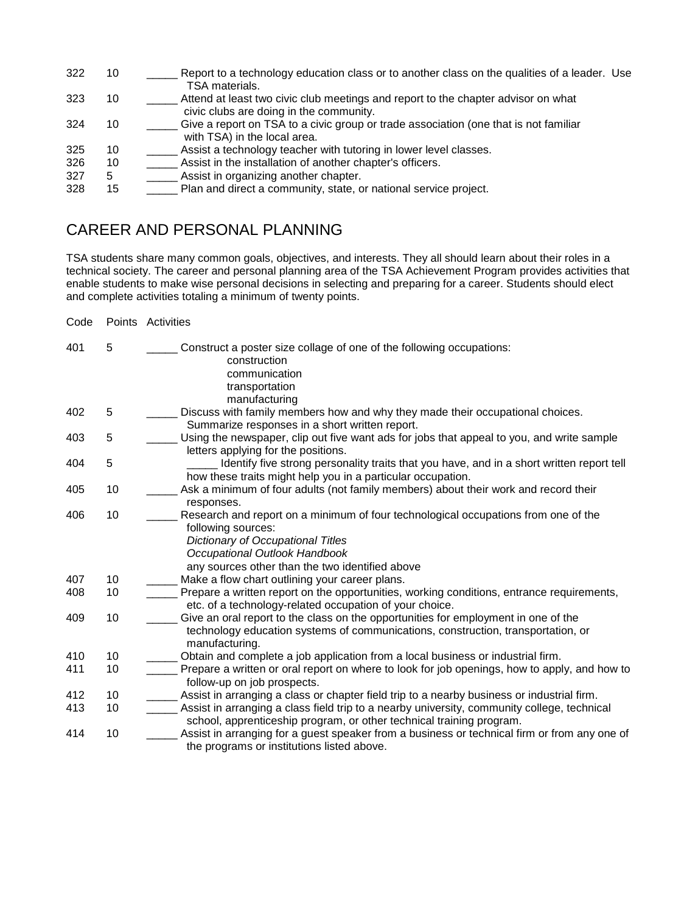- 322 10 Report to a technology education class or to another class on the qualities of a leader. Use TSA materials.
- 323 10 <sup>Attend</sup> at least two civic club meetings and report to the chapter advisor on what civic clubs are doing in the community.
- 324 10 Give a report on TSA to a civic group or trade association (one that is not familiar with TSA) in the local area.
- 325 10 \_\_\_\_\_ Assist a technology teacher with tutoring in lower level classes.
- 326 10 \_\_\_\_\_ Assist in the installation of another chapter's officers.
- 5 **3** Assist in organizing another chapter.
- 328 15 \_\_\_\_\_ Plan and direct a community, state, or national service project.

### CAREER AND PERSONAL PLANNING

TSA students share many common goals, objectives, and interests. They all should learn about their roles in a technical society. The career and personal planning area of the TSA Achievement Program provides activities that enable students to make wise personal decisions in selecting and preparing for a career. Students should elect and complete activities totaling a minimum of twenty points.

Code Points Activities

401 5 \_\_\_\_\_ Construct a poster size collage of one of the following occupations: construction communication transportation manufacturing<br>402 5 Discuss with family mem 5 **102 Discuss with family members how and why they made their occupational choices.** Summarize responses in a short written report. 403 5 \_\_\_\_\_ Using the newspaper, clip out five want ads for jobs that appeal to you, and write sample letters applying for the positions. 404 5 \_\_\_\_\_ Identify five strong personality traits that you have, and in a short written report tell how these traits might help you in a particular occupation. 405 10 \_\_\_\_\_ Ask a minimum of four adults (not family members) about their work and record their responses. 406 10 **10** Research and report on a minimum of four technological occupations from one of the following sources:  *Dictionary of Occupational Titles Occupational Outlook Handbook* any sources other than the two identified above<br>407 10 Make a flow chart outlining your career plans 407 10 \_\_\_\_\_\_\_ Make a flow chart outlining your career plans.<br>408 10 Prepare a written report on the opportunities. Prepare a written report on the opportunities, working conditions, entrance requirements, etc. of a technology-related occupation of your choice. 409 10 \_\_\_\_\_ Give an oral report to the class on the opportunities for employment in one of the technology education systems of communications, construction, transportation, or manufacturing. 410 10 \_\_\_\_\_\_\_ Obtain and complete a job application from a local business or industrial firm. 411 10 \_\_\_\_\_ Prepare a written or oral report on where to look for job openings, how to apply, and how to follow-up on job prospects. 412 10 \_\_\_\_\_ Assist in arranging a class or chapter field trip to a nearby business or industrial firm. 413 10 \_\_\_\_\_ Assist in arranging a class field trip to a nearby university, community college, technical school, apprenticeship program, or other technical training program. 414 10 Sales Assist in arranging for a guest speaker from a business or technical firm or from any one of the programs or institutions listed above.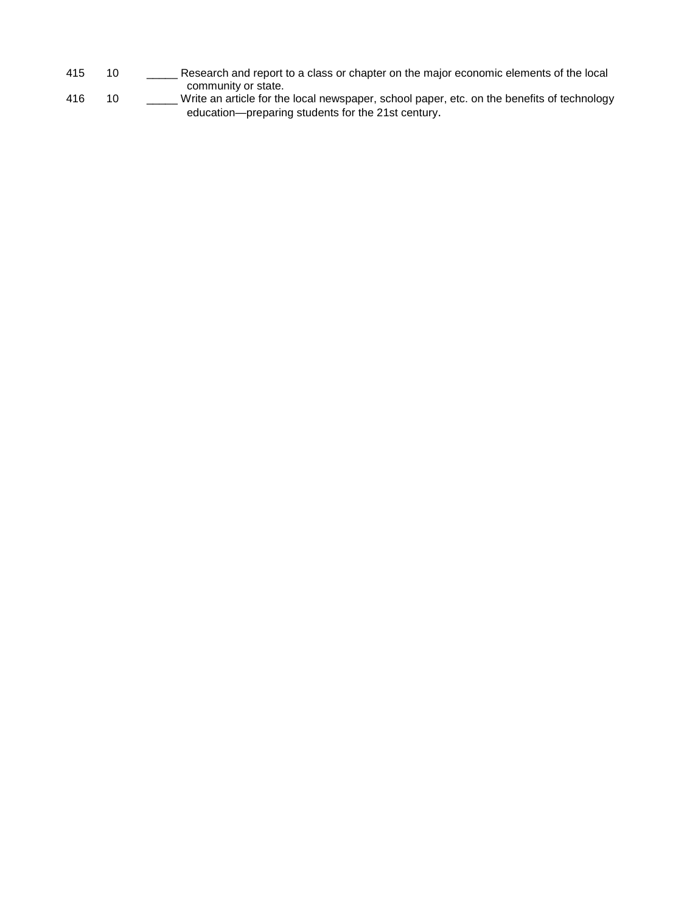- 415 10 \_\_\_\_\_\_ Research and report to a class or chapter on the major economic elements of the local community or state.
- 416 10 \_\_\_\_\_ Write an article for the local newspaper, school paper, etc. on the benefits of technology education—preparing students for the 21st century.